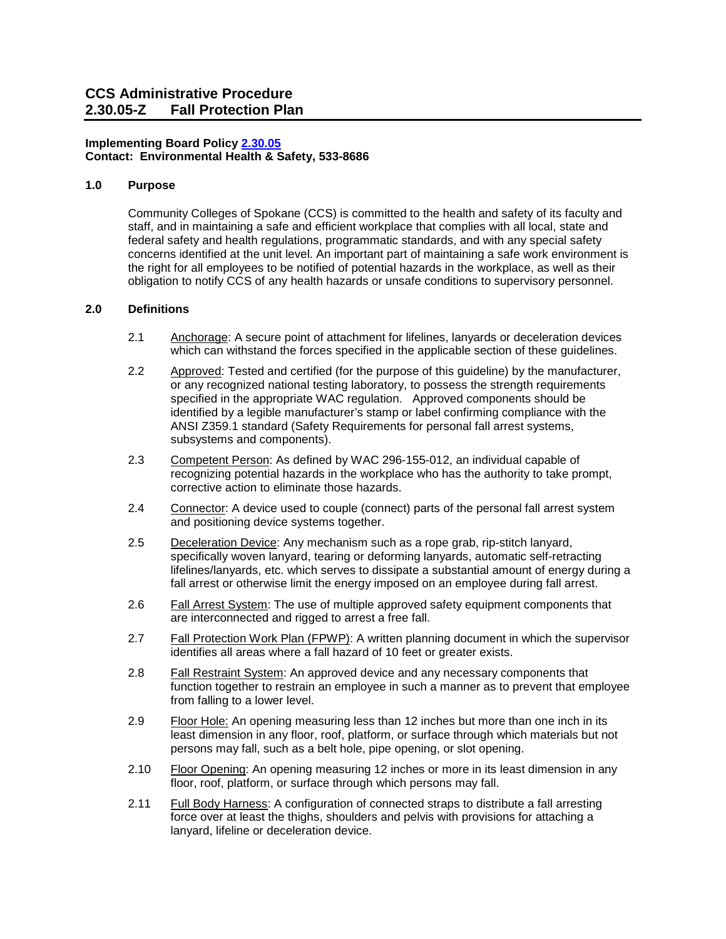# **Contact: Environmental Health & Safety, 533-8686 Implementing Board Polic[y 2.30.05](https://ccs.spokane.edu/About-Us/Leadership/Board-of-Trustees/Policies-Procedures/Chapter2)**

### **1.0 Purpose**

 Community Colleges of Spokane (CCS) is committed to the health and safety of its faculty and concerns identified at the unit level. An important part of maintaining a safe work environment is obligation to notify CCS of any health hazards or unsafe conditions to supervisory personnel. staff, and in maintaining a safe and efficient workplace that complies with all local, state and federal safety and health regulations, programmatic standards, and with any special safety the right for all employees to be notified of potential hazards in the workplace, as well as their

# **2.0 Definitions**

- 2.1 Anchorage: A secure point of attachment for lifelines, lanyards or deceleration devices which can withstand the forces specified in the applicable section of these guidelines.
- specified in the appropriate WAC regulation. Approved components should be 2.2 Approved: Tested and certified (for the purpose of this guideline) by the manufacturer, or any recognized national testing laboratory, to possess the strength requirements identified by a legible manufacturer's stamp or label confirming compliance with the ANSI Z359.1 standard (Safety Requirements for personal fall arrest systems, subsystems and components).
- 2.3 Competent Person: As defined by WAC 296-155-012, an individual capable of recognizing potential hazards in the workplace who has the authority to take prompt, corrective action to eliminate those hazards.
- 2.4 Connector: A device used to couple (connect) parts of the personal fall arrest system and positioning device systems together.
- specifically woven lanyard, tearing or deforming lanyards, automatic self-retracting 2.5 Deceleration Device: Any mechanism such as a rope grab, rip-stitch lanyard, lifelines/lanyards, etc. which serves to dissipate a substantial amount of energy during a fall arrest or otherwise limit the energy imposed on an employee during fall arrest.
- 2.6 Fall Arrest System: The use of multiple approved safety equipment components that are interconnected and rigged to arrest a free fall.
- identifies all areas where a fall hazard of 10 feet or greater exists. 2.7 Fall Protection Work Plan (FPWP): A written planning document in which the supervisor
- from falling to a lower level. 2.8 Fall Restraint System: An approved device and any necessary components that function together to restrain an employee in such a manner as to prevent that employee
- least dimension in any floor, roof, platform, or surface through which materials but not 2.9 Floor Hole: An opening measuring less than 12 inches but more than one inch in its persons may fall, such as a belt hole, pipe opening, or slot opening.
- floor, roof, platform, or surface through which persons may fall. 2.10 Floor Opening: An opening measuring 12 inches or more in its least dimension in any
- lanyard, lifeline or deceleration device. 2.11 Full Body Harness: A configuration of connected straps to distribute a fall arresting force over at least the thighs, shoulders and pelvis with provisions for attaching a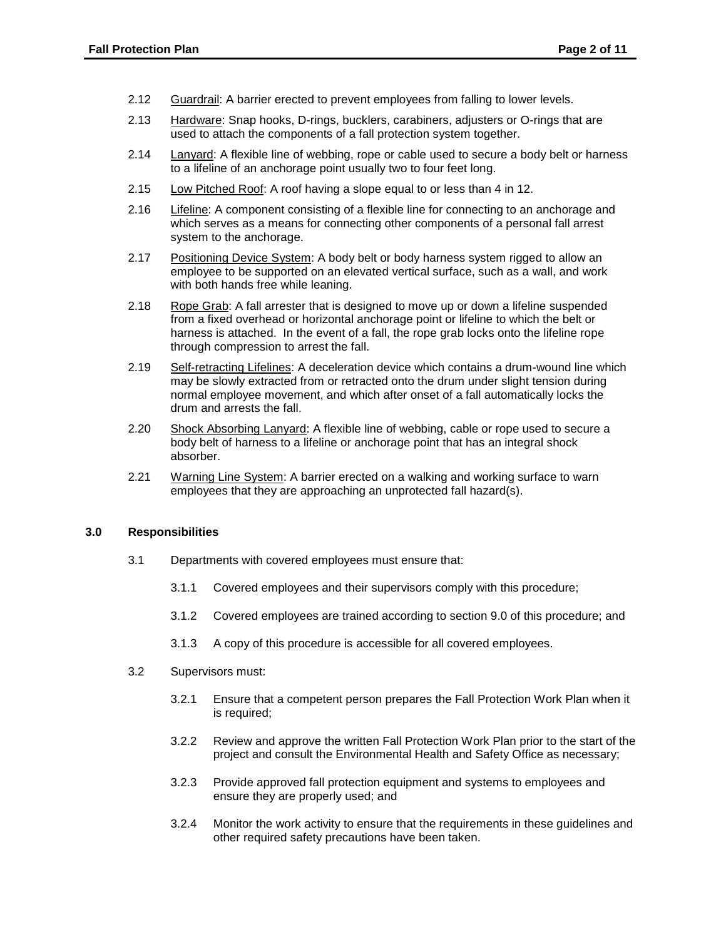- 2.12 Guardrail: A barrier erected to prevent employees from falling to lower levels.
- 2.13 Hardware: Snap hooks, D-rings, bucklers, carabiners, adjusters or O-rings that are used to attach the components of a fall protection system together.
- 2.14 Lanyard: A flexible line of webbing, rope or cable used to secure a body belt or harness to a lifeline of an anchorage point usually two to four feet long.
- 2.15 Low Pitched Roof: A roof having a slope equal to or less than 4 in 12.
- 2.16 Lifeline: A component consisting of a flexible line for connecting to an anchorage and which serves as a means for connecting other components of a personal fall arrest system to the anchorage.
- 2.17 Positioning Device System: A body belt or body harness system rigged to allow an employee to be supported on an elevated vertical surface, such as a wall, and work with both hands free while leaning.
- 2.18 Rope Grab: A fall arrester that is designed to move up or down a lifeline suspended from a fixed overhead or horizontal anchorage point or lifeline to which the belt or harness is attached. In the event of a fall, the rope grab locks onto the lifeline rope through compression to arrest the fall.
- normal employee movement, and which after onset of a fall automatically locks the 2.19 Self-retracting Lifelines: A deceleration device which contains a drum-wound line which may be slowly extracted from or retracted onto the drum under slight tension during drum and arrests the fall.
- body belt of harness to a lifeline or anchorage point that has an integral shock 2.20 Shock Absorbing Lanyard: A flexible line of webbing, cable or rope used to secure a absorber.
- 2.21 Warning Line System: A barrier erected on a walking and working surface to warn employees that they are approaching an unprotected fall hazard(s).

### **3.0 Responsibilities**

- 3.1 Departments with covered employees must ensure that:
	- 3.1.1 Covered employees and their supervisors comply with this procedure;
	- 3.1.2 Covered employees are trained according to section 9.0 of this procedure; and
	- 3.1.3 A copy of this procedure is accessible for all covered employees.
- 3.2 Supervisors must:
	- 3.2.1 Ensure that a competent person prepares the Fall Protection Work Plan when it is required;
	- 3.2.2 Review and approve the written Fall Protection Work Plan prior to the start of the project and consult the Environmental Health and Safety Office as necessary;
	- ensure they are properly used; and 3.2.3 Provide approved fall protection equipment and systems to employees and
	- 3.2.4 Monitor the work activity to ensure that the requirements in these guidelines and other required safety precautions have been taken.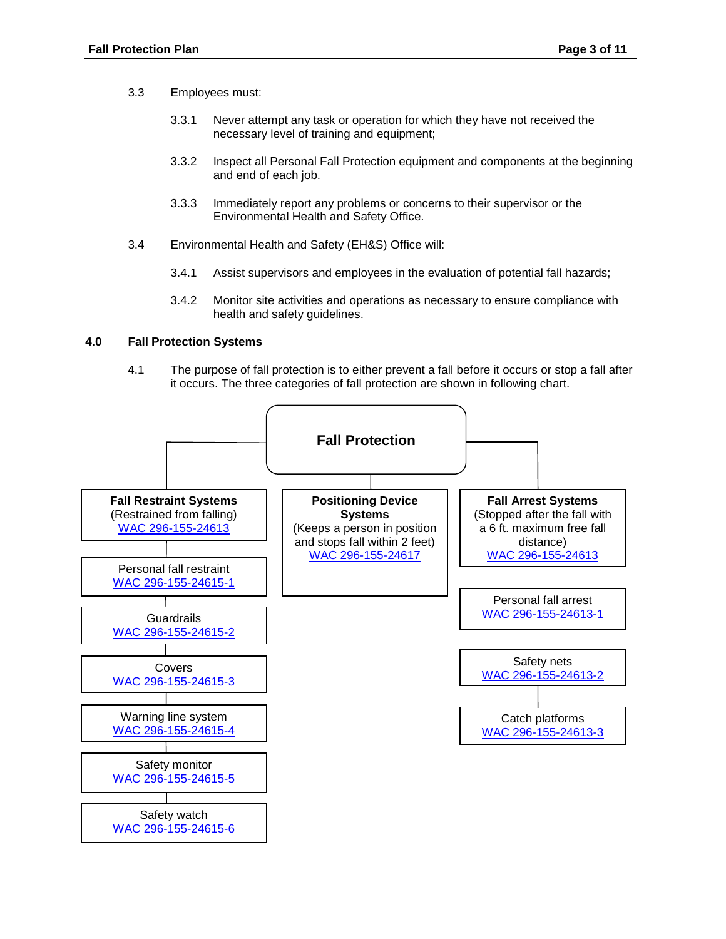- 3.3 Employees must:
	- 3.3.1 Never attempt any task or operation for which they have not received the necessary level of training and equipment;
	- 3.3.2 Inspect all Personal Fall Protection equipment and components at the beginning and end of each job.
	- 3.3.3 Immediately report any problems or concerns to their supervisor or the Environmental Health and Safety Office.
- 3.4 Environmental Health and Safety (EH&S) Office will:
	- 3.4.1 Assist supervisors and employees in the evaluation of potential fall hazards;
	- 3.4.2 Monitor site activities and operations as necessary to ensure compliance with health and safety guidelines.

### **4.0 Fall Protection Systems**

 it occurs. The three categories of fall protection are shown in following chart. 4.1 The purpose of fall protection is to either prevent a fall before it occurs or stop a fall after

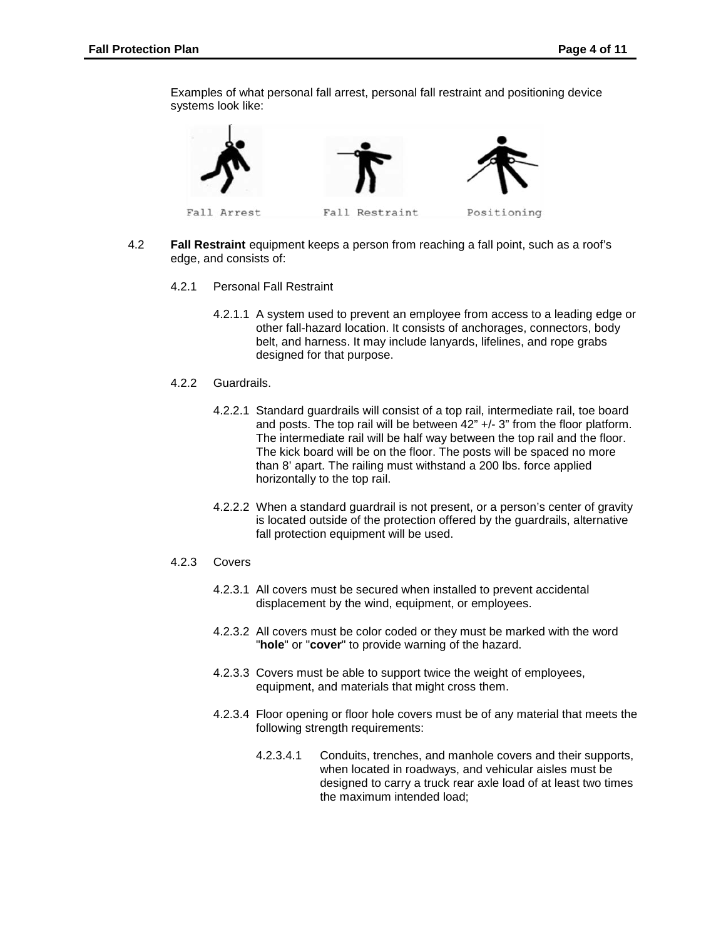Examples of what personal fall arrest, personal fall restraint and positioning device systems look like:



- 4.2 **Fall Restraint** equipment keeps a person from reaching a fall point, such as a roof's edge, and consists of:
	- 4.2.1 Personal Fall Restraint
		- 4.2.1.1 A system used to prevent an employee from access to a leading edge or other fall-hazard location. It consists of anchorages, connectors, body belt, and harness. It may include lanyards, lifelines, and rope grabs designed for that purpose.
	- 4.2.2 Guardrails.
		- and posts. The top rail will be between 42" +/- 3" from the floor platform. The intermediate rail will be half way between the top rail and the floor. horizontally to the top rail. 4.2.2.1 Standard guardrails will consist of a top rail, intermediate rail, toe board The kick board will be on the floor. The posts will be spaced no more than 8' apart. The railing must withstand a 200 lbs. force applied
		- horizontally to the top rail. 4.2.2.2 When a standard guardrail is not present, or a person's center of gravity is located outside of the protection offered by the guardrails, alternative fall protection equipment will be used.
	- $4.2.3$ **Covers** 
		- 4.2.3.1 All covers must be secured when installed to prevent accidental displacement by the wind, equipment, or employees.
		- 4.2.3.2 All covers must be color coded or they must be marked with the word "**hole**" or "**cover**" to provide warning of the hazard.
		- equipment, and materials that might cross them. 4.2.3.3 Covers must be able to support twice the weight of employees,
		- 4.2.3.4 Floor opening or floor hole covers must be of any material that meets the following strength requirements:
			- 4.2.3.4.1 Conduits, trenches, and manhole covers and their supports, when located in roadways, and vehicular aisles must be designed to carry a truck rear axle load of at least two times the maximum intended load;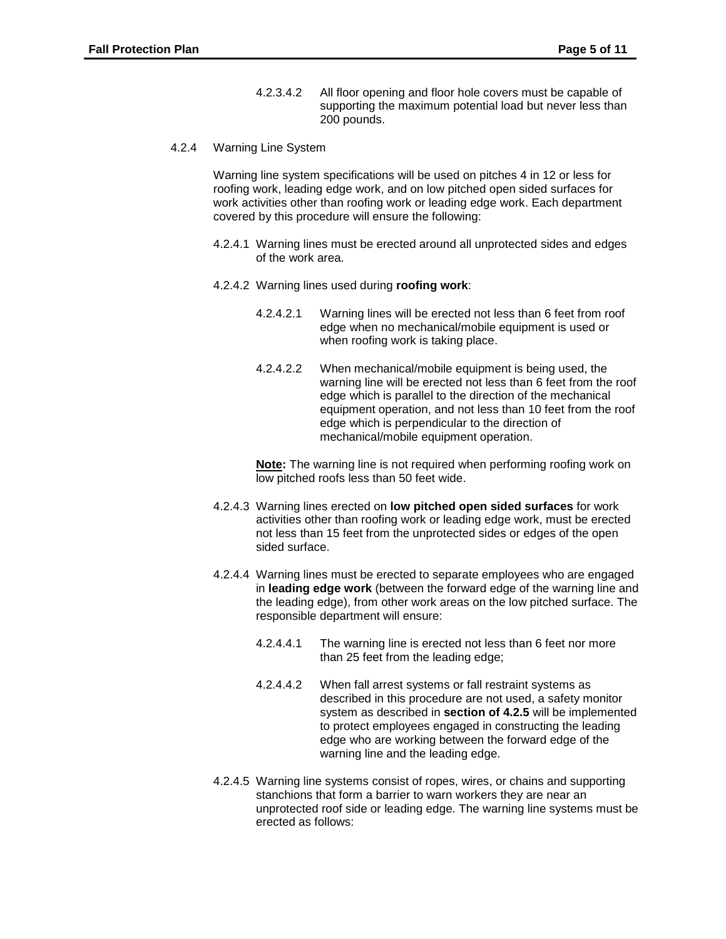- 200 pounds. 4.2.3.4.2 All floor opening and floor hole covers must be capable of supporting the maximum potential load but never less than
- **Warning Line System** 4.2.4

Warning Line System<br>Warning line system specifications will be used on pitches 4 in 12 or less for covered by this procedure will ensure the following: roofing work, leading edge work, and on low pitched open sided surfaces for work activities other than roofing work or leading edge work. Each department

- 4.2.4.1 Warning lines must be erected around all unprotected sides and edges of the work area.
- 4.2.4.2 Warning lines used during **roofing work**:
	- 4.2.4.2.1 Warning lines will be erected not less than 6 feet from roof edge when no mechanical/mobile equipment is used or when roofing work is taking place.
	- 4.2.4.2.2 When mechanical/mobile equipment is being used, the warning line will be erected not less than 6 feet from the roof equipment operation, and not less than 10 feet from the roof edge which is parallel to the direction of the mechanical edge which is perpendicular to the direction of mechanical/mobile equipment operation.

 low pitched roofs less than 50 feet wide. **Note:** The warning line is not required when performing roofing work on

- sided surface. 4.2.4.3 Warning lines erected on **low pitched open sided surfaces** for work activities other than roofing work or leading edge work, must be erected not less than 15 feet from the unprotected sides or edges of the open
- 4.2.4.4 Warning lines must be erected to separate employees who are engaged in **leading edge work** (between the forward edge of the warning line and the leading edge), from other work areas on the low pitched surface. The responsible department will ensure:
	- 4.2.4.4.1 The warning line is erected not less than 6 feet nor more than 25 feet from the leading edge;
	- system as described in **section of 4.2.5** will be implemented 4.2.4.4.2 When fall arrest systems or fall restraint systems as described in this procedure are not used, a safety monitor to protect employees engaged in constructing the leading edge who are working between the forward edge of the warning line and the leading edge.
- 4.2.4.5 Warning line systems consist of ropes, wires, or chains and supporting stanchions that form a barrier to warn workers they are near an unprotected roof side or leading edge. The warning line systems must be erected as follows: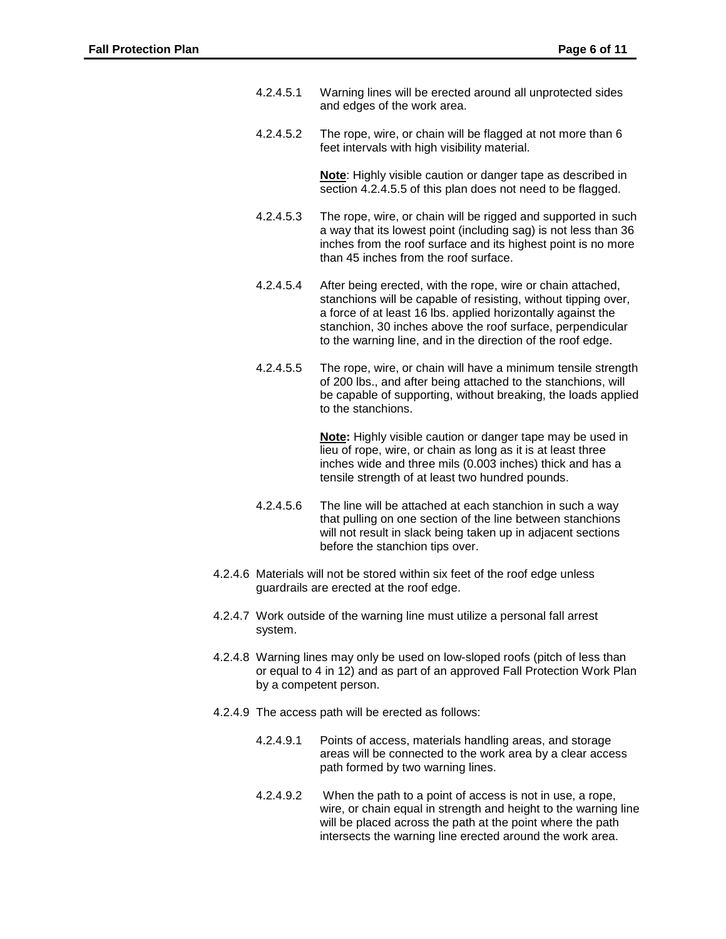- and edges of the work area. 4.2.4.5.1 Warning lines will be erected around all unprotected sides
- 4.2.4.5.2 The rope, wire, or chain will be flagged at not more than  $6$ feet intervals with high visibility material.

**Note**: Highly visible caution or danger tape as described in section 4.2.4.5.5 of this plan does not need to be flagged.

- a way that its lowest point (including sag) is not less than 36 than 45 inches from the roof surface. 4.2.4.5.3 The rope, wire, or chain will be rigged and supported in such inches from the roof surface and its highest point is no more
- stanchion, 30 inches above the roof surface, perpendicular 4.2.4.5.4 After being erected, with the rope, wire or chain attached, stanchions will be capable of resisting, without tipping over, a force of at least 16 lbs. applied horizontally against the to the warning line, and in the direction of the roof edge.
- 4.2.4.5.5 The rope, wire, or chain will have a minimum tensile strength of 200 lbs., and after being attached to the stanchions, will be capable of supporting, without breaking, the loads applied to the stanchions.

 lieu of rope, wire, or chain as long as it is at least three inches wide and three mils (0.003 inches) thick and has a **Note:** Highly visible caution or danger tape may be used in tensile strength of at least two hundred pounds.

- 4.2.4.5.6 The line will be attached at each stanchion in such a way that pulling on one section of the line between stanchions will not result in slack being taken up in adjacent sections before the stanchion tips over.
- 4.2.4.6 Materials will not be stored within six feet of the roof edge unless guardrails are erected at the roof edge.
- 4.2.4.7 Work outside of the warning line must utilize a personal fall arrest system.
- 4.2.4.8 Warning lines may only be used on low-sloped roofs (pitch of less than or equal to 4 in 12) and as part of an approved Fall Protection Work Plan by a competent person.
- 4.2.4.9 The access path will be erected as follows:
	- 4.2.4.9.1 Points of access, materials handling areas, and storage areas will be connected to the work area by a clear access path formed by two warning lines.
	- 4.2.4.9.2 When the path to a point of access is not in use, a rope, wire, or chain equal in strength and height to the warning line will be placed across the path at the point where the path intersects the warning line erected around the work area.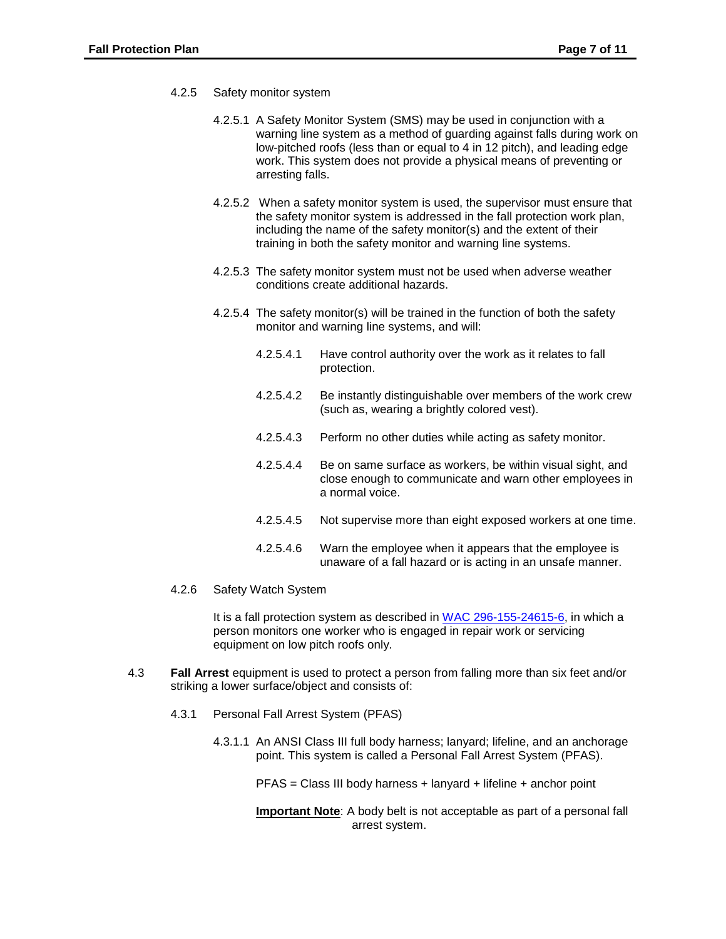- 4.2.5 Safety monitor system
	- 4.2.5.1 A Safety Monitor System (SMS) may be used in conjunction with a warning line system as a method of guarding against falls during work on low-pitched roofs (less than or equal to 4 in 12 pitch), and leading edge work. This system does not provide a physical means of preventing or arresting falls.
	- 4.2.5.2 When a safety monitor system is used, the supervisor must ensure that the safety monitor system is addressed in the fall protection work plan, including the name of the safety monitor(s) and the extent of their training in both the safety monitor and warning line systems.
	- 4.2.5.3 The safety monitor system must not be used when adverse weather conditions create additional hazards.
	- 4.2.5.4 The safety monitor(s) will be trained in the function of both the safety monitor and warning line systems, and will:
		- 4.2.5.4.1 Have control authority over the work as it relates to fall protection.
		- 4.2.5.4.2 Be instantly distinguishable over members of the work crew (such as, wearing a brightly colored vest).
		- 4.2.5.4.3 Perform no other duties while acting as safety monitor.
		- 4.2.5.4.4 Be on same surface as workers, be within visual sight, and close enough to communicate and warn other employees in a normal voice.
		- 4.2.5.4.5 Not supervise more than eight exposed workers at one time.
		- 4.2.5.4.6 Warn the employee when it appears that the employee is unaware of a fall hazard or is acting in an unsafe manner.
- 4.2.6 Safety Watch System

It is a fall protection system as described in [WAC 296-155-24615-6,](https://app.leg.wa.gov/wac/default.aspx?cite=296-155-24615) in which a person monitors one worker who is engaged in repair work or servicing equipment on low pitch roofs only.

- 4.3 **Fall Arrest** equipment is used to protect a person from falling more than six feet and/or striking a lower surface/object and consists of:
	- 4.3.1 Personal Fall Arrest System (PFAS)
		- point. This system is called a Personal Fall Arrest System (PFAS). 4.3.1.1 An ANSI Class III full body harness; lanyard; lifeline, and an anchorage

PFAS = Class III body harness + lanyard + lifeline + anchor point

 **Important Note**: A body belt is not acceptable as part of a personal fall arrest system.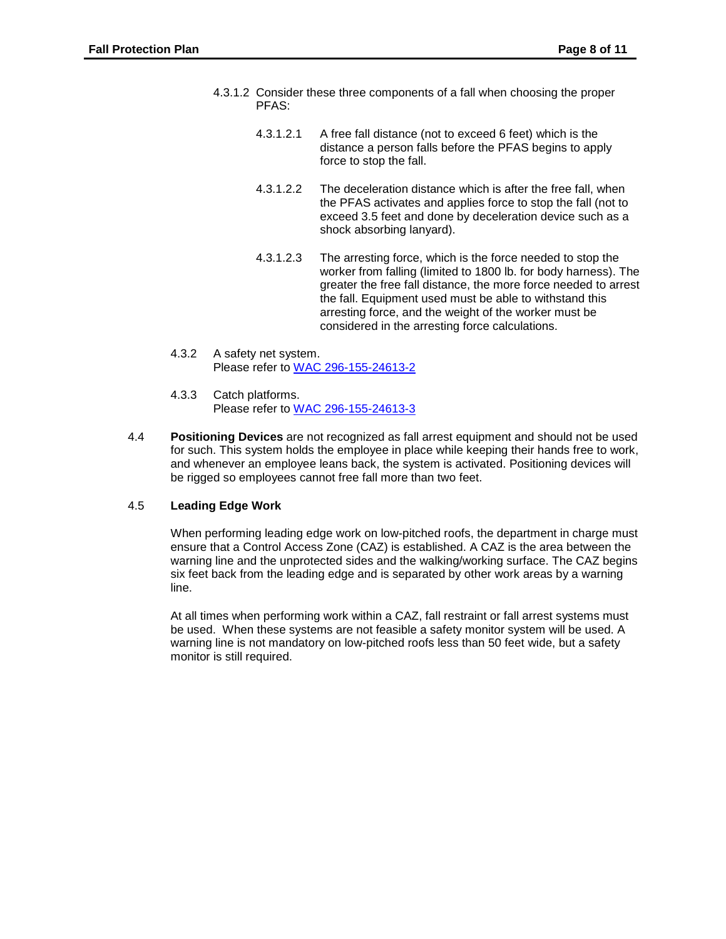- 4.3.1.2 Consider these three components of a fall when choosing the proper PFAS:
	- 4.3.1.2.1 A free fall distance (not to exceed 6 feet) which is the distance a person falls before the PFAS begins to apply force to stop the fall.
	- exceed 3.5 feet and done by deceleration device such as a 4.3.1.2.2 The deceleration distance which is after the free fall, when the PFAS activates and applies force to stop the fall (not to shock absorbing lanyard).
	- worker from falling (limited to 1800 lb. for body harness). The 4.3.1.2.3 The arresting force, which is the force needed to stop the greater the free fall distance, the more force needed to arrest the fall. Equipment used must be able to withstand this arresting force, and the weight of the worker must be considered in the arresting force calculations.
- 4.3.2 A safety net system. Please refer to [WAC 296-155-24613-2](http://apps.leg.wa.gov/wac/default.aspx?cite=296-155-24613)
- 4.3.3 Catch platforms. Please refer to [WAC 296-155-24613-3](http://apps.leg.wa.gov/wac/default.aspx?cite=296-155-24613)
- 4.4 **Positioning Devices** are not recognized as fall arrest equipment and should not be used be rigged so employees cannot free fall more than two feet. for such. This system holds the employee in place while keeping their hands free to work, and whenever an employee leans back, the system is activated. Positioning devices will

# 4.5 **Leading Edge Work**

 six feet back from the leading edge and is separated by other work areas by a warning When performing leading edge work on low-pitched roofs, the department in charge must ensure that a Control Access Zone (CAZ) is established. A CAZ is the area between the warning line and the unprotected sides and the walking/working surface. The CAZ begins line.

 be used. When these systems are not feasible a safety monitor system will be used. A warning line is not mandatory on low-pitched roofs less than 50 feet wide, but a safety At all times when performing work within a CAZ, fall restraint or fall arrest systems must monitor is still required.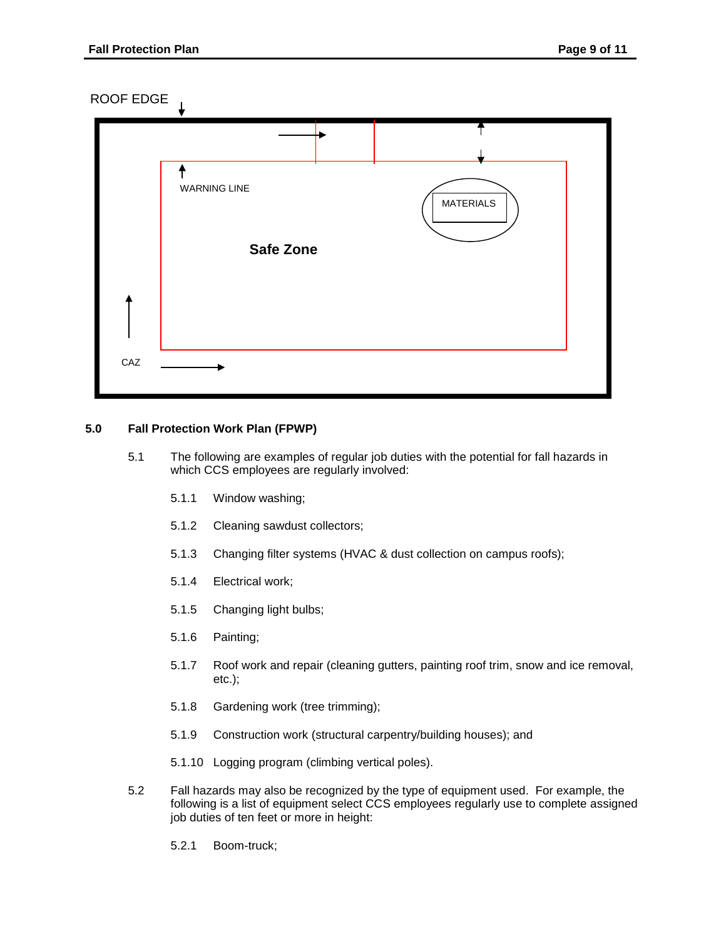ROOF EDGE



# **5.0 Fall Protection Work Plan (FPWP)**

- which CCS employees are regularly involved:<br>5.1.1 Window washing; 5.1 The following are examples of regular job duties with the potential for fall hazards in
	-
	- 5.1.2 Cleaning sawdust collectors;
	- 5.1.3 Changing filter systems (HVAC & dust collection on campus roofs);
	- 5.1.4 Electrical work;
	- 5.1.5 Changing light bulbs;
	- 5.1.6 Painting;
	- 5.1.7 Roof work and repair (cleaning gutters, painting roof trim, snow and ice removal, etc.);
	- 5.1.8 Gardening work (tree trimming);
	- 5.1.9 Construction work (structural carpentry/building houses); and
	- 5.1.10 Logging program (climbing vertical poles).
- 5.2 Fall hazards may also be recognized by the type of equipment used. For example, the following is a list of equipment select CCS employees regularly use to complete assigned job duties of ten feet or more in height:
	- 5.2.1 Boom-truck;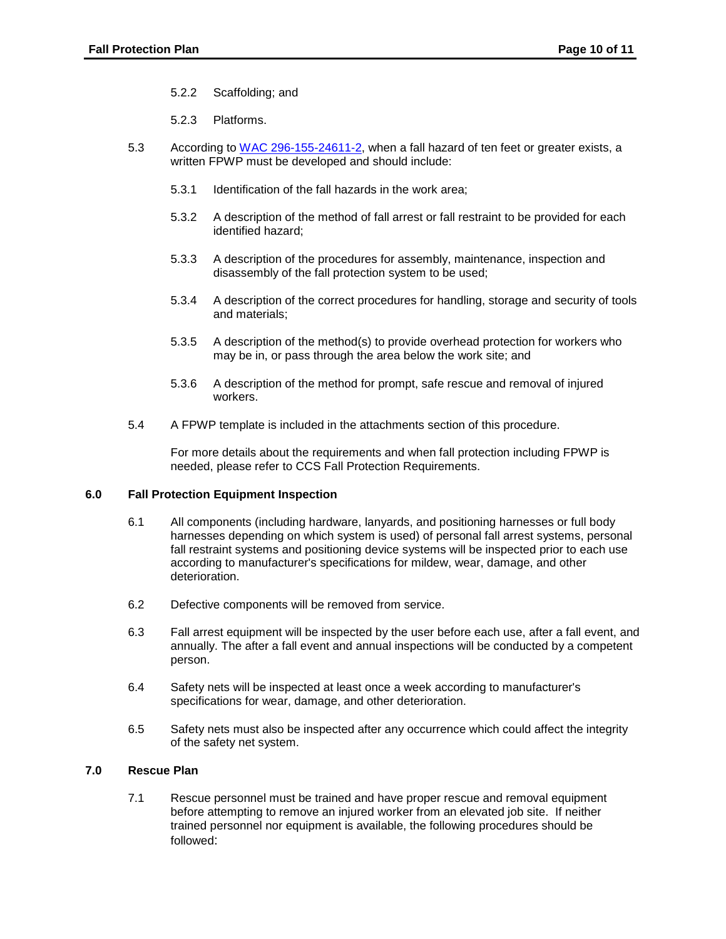- 5.2.2 Scaffolding; and
- 5.2.3 Platforms.
- 5.3 According to [WAC 296-155-24611-2,](https://apps.leg.wa.gov/WAC/default.aspx?cite=296-155-24611) when a fall hazard of ten feet or greater exists, a written FPWP must be developed and should include:
	- 5.3.1 Identification of the fall hazards in the work area;
	- 5.3.2 A description of the method of fall arrest or fall restraint to be provided for each identified hazard;
	- 5.3.3 A description of the procedures for assembly, maintenance, inspection and disassembly of the fall protection system to be used;
	- 5.3.4 A description of the correct procedures for handling, storage and security of tools and materials;
	- may be in, or pass through the area below the work site; and 5.3.5 A description of the method(s) to provide overhead protection for workers who
	- workers. 5.3.6 A description of the method for prompt, safe rescue and removal of injured
- workers.<br>5.4 A FPWP template is included in the attachments section of this procedure.

 needed, please refer to CCS Fall Protection Requirements. For more details about the requirements and when fall protection including FPWP is

### **6.0 Fall Protection Equipment Inspection**

- 6.1 All components (including hardware, lanyards, and positioning harnesses or full body harnesses depending on which system is used) of personal fall arrest systems, personal fall restraint systems and positioning device systems will be inspected prior to each use according to manufacturer's specifications for mildew, wear, damage, and other deterioration.
- 6.2 Defective components will be removed from service.
- 6.3 Fall arrest equipment will be inspected by the user before each use, after a fall event, and annually. The after a fall event and annual inspections will be conducted by a competent person.
- 6.4 Safety nets will be inspected at least once a week according to manufacturer's specifications for wear, damage, and other deterioration.
- 6.5 Safety nets must also be inspected after any occurrence which could affect the integrity of the safety net system.

### **7.0 Rescue Plan**

7.1 Rescue personnel must be trained and have proper rescue and removal equipment before attempting to remove an injured worker from an elevated job site. If neither trained personnel nor equipment is available, the following procedures should be followed: